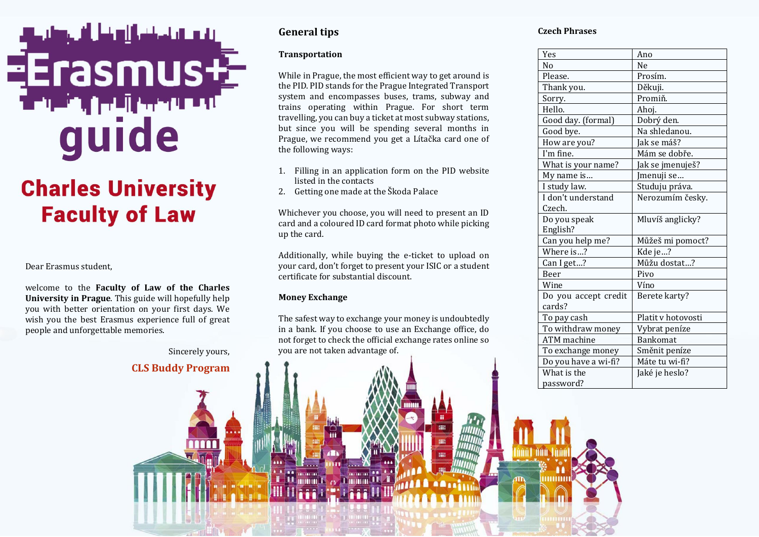# guide

# **Charles University Faculty of Law**

Dear Erasmus student,

welcome to the **Faculty of Law of the Charles University in Prague**. This guide will hopefully help you with better orientation on your first days. We wish you the best Erasmus experience full of great people and unforgettable memories.

Sincerely yours,

## **CLS Buddy Program**

### **General tips**

#### **Transportation**

While in Prague, the most efficient way to get around is the PID. PID stands for the Prague Integrated Transport system and encompasses buses, trams, subway and trains operating within Prague. For short term travelling, you can buy a ticket at most subway stations, but since you will be spending several months in Prague, we recommend you get a Lítačka card one of the following ways:

- 1. Filling in an application form on the PID website listed in the contacts
- 2. Getting one made at the Škoda Palace

Whichever you choose, you will need to present an ID card and a coloured ID card format photo while picking up the card.

Additionally, while buying the e-ticket to upload on your card, don't forget to present your ISIC or a student certificate for substantial discount.

#### **Money Exchange**

181101181 **MANITES** 

The safest way to exchange your money is undoubtedly in a bank. If you choose to use an Exchange office, do not forget to check the official exchange rates online so you are not taken advantage of.

#### **Czech Phrases**

| Yes                  | Ano                |
|----------------------|--------------------|
| N <sub>0</sub>       | Ne                 |
| Please.              | Prosím.            |
| Thank you.           | Děkuji.            |
| Sorry.               | Promiň.            |
| Hello.               | Ahoj.              |
| Good day. (formal)   | Dobrý den.         |
| Good bye.            | Na shledanou.      |
| How are you?         | Jak se máš?        |
| I'm fine.            | Mám se dobře.      |
| What is your name?   | Jak se jmenuješ?   |
| My name is           | Jmenuji se…        |
| I study law.         | Studuju práva.     |
| I don't understand   | Nerozumím česky.   |
| Czech.               |                    |
| Do you speak         | Mluvíš anglicky?   |
| English?             |                    |
| Can you help me?     | Můžeš mi pomoct?   |
| Where is?            | Kde je?            |
| Can I get?           | Můžu dostat?       |
| Beer                 | Pivo               |
| Wine                 | Víno               |
| Do you accept credit | Berete karty?      |
| cards?               |                    |
| To pay cash          | Platit v hotovosti |
| To withdraw money    | Vybrat peníze      |
| <b>ATM</b> machine   | <b>Bankomat</b>    |
| To exchange money    | Směnit peníze      |
| Do you have a wi-fi? | Máte tu wi-fi?     |
| What is the          | Jaké je heslo?     |
| password?            |                    |